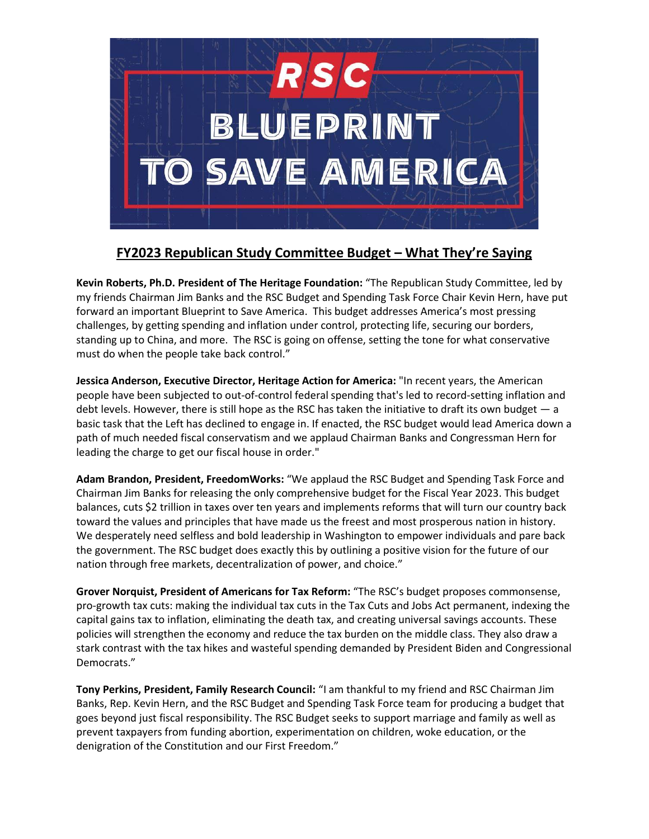

## **FY2023 Republican Study Committee Budget – What They're Saying**

**Kevin Roberts, Ph.D. President of The Heritage Foundation:** "The Republican Study Committee, led by my friends Chairman Jim Banks and the RSC Budget and Spending Task Force Chair Kevin Hern, have put forward an important Blueprint to Save America. This budget addresses America's most pressing challenges, by getting spending and inflation under control, protecting life, securing our borders, standing up to China, and more. The RSC is going on offense, setting the tone for what conservative must do when the people take back control."

**Jessica Anderson, Executive Director, Heritage Action for America:** "In recent years, the American people have been subjected to out-of-control federal spending that's led to record-setting inflation and debt levels. However, there is still hope as the RSC has taken the initiative to draft its own budget — a basic task that the Left has declined to engage in. If enacted, the RSC budget would lead America down a path of much needed fiscal conservatism and we applaud Chairman Banks and Congressman Hern for leading the charge to get our fiscal house in order."

**Adam Brandon, President, FreedomWorks:** "We applaud the RSC Budget and Spending Task Force and Chairman Jim Banks for releasing the only comprehensive budget for the Fiscal Year 2023. This budget balances, cuts \$2 trillion in taxes over ten years and implements reforms that will turn our country back toward the values and principles that have made us the freest and most prosperous nation in history. We desperately need selfless and bold leadership in Washington to empower individuals and pare back the government. The RSC budget does exactly this by outlining a positive vision for the future of our nation through free markets, decentralization of power, and choice."

**Grover Norquist, President of Americans for Tax Reform:** "The RSC's budget proposes commonsense, pro-growth tax cuts: making the individual tax cuts in the Tax Cuts and Jobs Act permanent, indexing the capital gains tax to inflation, eliminating the death tax, and creating universal savings accounts. These policies will strengthen the economy and reduce the tax burden on the middle class. They also draw a stark contrast with the tax hikes and wasteful spending demanded by President Biden and Congressional Democrats."

**Tony Perkins, President, Family Research Council:** "I am thankful to my friend and RSC Chairman Jim Banks, Rep. Kevin Hern, and the RSC Budget and Spending Task Force team for producing a budget that goes beyond just fiscal responsibility. The RSC Budget seeks to support marriage and family as well as prevent taxpayers from funding abortion, experimentation on children, woke education, or the denigration of the Constitution and our First Freedom."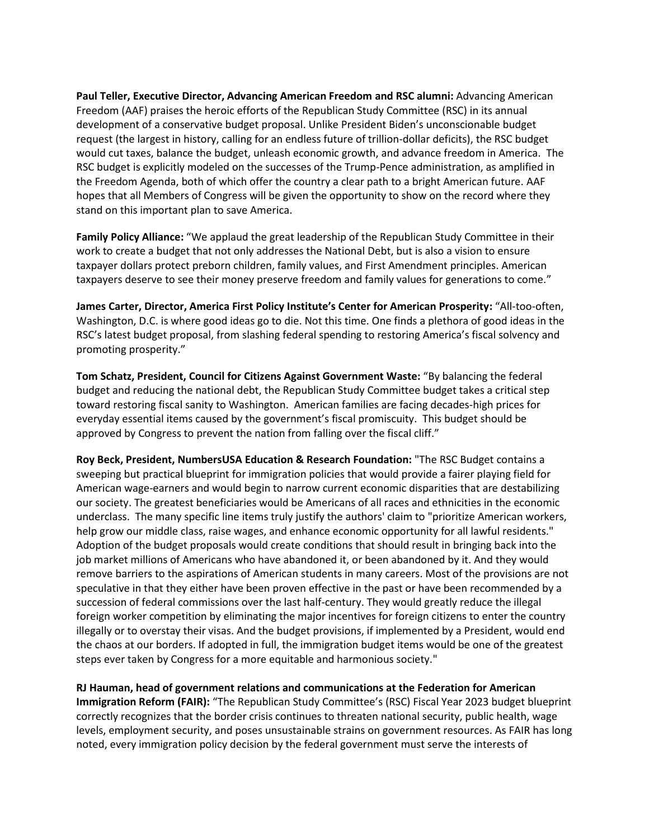**Paul Teller, Executive Director, Advancing American Freedom and RSC alumni:** Advancing American Freedom (AAF) praises the heroic efforts of the Republican Study Committee (RSC) in its annual development of a conservative budget proposal. Unlike President Biden's unconscionable budget request (the largest in history, calling for an endless future of trillion-dollar deficits), the RSC budget would cut taxes, balance the budget, unleash economic growth, and advance freedom in America. The RSC budget is explicitly modeled on the successes of the Trump-Pence administration, as amplified in the Freedom Agenda, both of which offer the country a clear path to a bright American future. AAF hopes that all Members of Congress will be given the opportunity to show on the record where they stand on this important plan to save America.

**Family Policy Alliance:** "We applaud the great leadership of the Republican Study Committee in their work to create a budget that not only addresses the National Debt, but is also a vision to ensure taxpayer dollars protect preborn children, family values, and First Amendment principles. American taxpayers deserve to see their money preserve freedom and family values for generations to come."

**James Carter, Director, America First Policy Institute's Center for American Prosperity:** "All-too-often, Washington, D.C. is where good ideas go to die. Not this time. One finds a plethora of good ideas in the RSC's latest budget proposal, from slashing federal spending to restoring America's fiscal solvency and promoting prosperity."

**Tom Schatz, President, Council for Citizens Against Government Waste:** "By balancing the federal budget and reducing the national debt, the Republican Study Committee budget takes a critical step toward restoring fiscal sanity to Washington. American families are facing decades-high prices for everyday essential items caused by the government's fiscal promiscuity. This budget should be approved by Congress to prevent the nation from falling over the fiscal cliff."

**Roy Beck, President, NumbersUSA Education & Research Foundation:** "The RSC Budget contains a sweeping but practical blueprint for immigration policies that would provide a fairer playing field for American wage-earners and would begin to narrow current economic disparities that are destabilizing our society. The greatest beneficiaries would be Americans of all races and ethnicities in the economic underclass. The many specific line items truly justify the authors' claim to "prioritize American workers, help grow our middle class, raise wages, and enhance economic opportunity for all lawful residents." Adoption of the budget proposals would create conditions that should result in bringing back into the job market millions of Americans who have abandoned it, or been abandoned by it. And they would remove barriers to the aspirations of American students in many careers. Most of the provisions are not speculative in that they either have been proven effective in the past or have been recommended by a succession of federal commissions over the last half-century. They would greatly reduce the illegal foreign worker competition by eliminating the major incentives for foreign citizens to enter the country illegally or to overstay their visas. And the budget provisions, if implemented by a President, would end the chaos at our borders. If adopted in full, the immigration budget items would be one of the greatest steps ever taken by Congress for a more equitable and harmonious society."

**RJ Hauman, head of government relations and communications at the Federation for American Immigration Reform (FAIR):** "The Republican Study Committee's (RSC) Fiscal Year 2023 budget blueprint correctly recognizes that the border crisis continues to threaten national security, public health, wage levels, employment security, and poses unsustainable strains on government resources. As FAIR has long noted, every immigration policy decision by the federal government must serve the interests of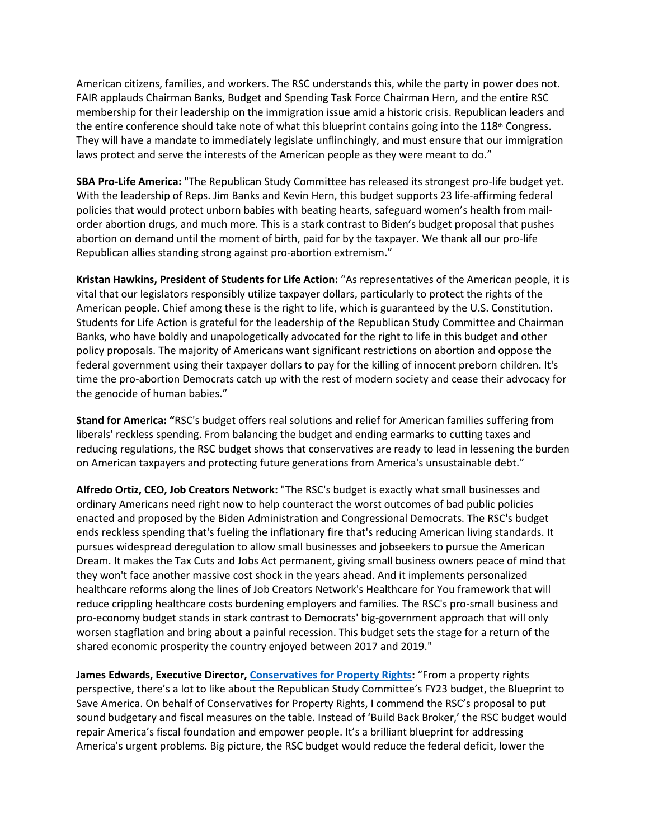American citizens, families, and workers. The RSC understands this, while the party in power does not. FAIR applauds Chairman Banks, Budget and Spending Task Force Chairman Hern, and the entire RSC membership for their leadership on the immigration issue amid a historic crisis. Republican leaders and the entire conference should take note of what this blueprint contains going into the 118<sup>th</sup> Congress. They will have a mandate to immediately legislate unflinchingly, and must ensure that our immigration laws protect and serve the interests of the American people as they were meant to do."

**SBA Pro-Life America:** "The Republican Study Committee has released its strongest pro-life budget yet. With the leadership of Reps. Jim Banks and Kevin Hern, this budget supports 23 life-affirming federal policies that would protect unborn babies with beating hearts, safeguard women's health from mailorder abortion drugs, and much more. This is a stark contrast to Biden's budget proposal that pushes abortion on demand until the moment of birth, paid for by the taxpayer. We thank all our pro-life Republican allies standing strong against pro-abortion extremism."

**Kristan Hawkins, President of Students for Life Action:** "As representatives of the American people, it is vital that our legislators responsibly utilize taxpayer dollars, particularly to protect the rights of the American people. Chief among these is the right to life, which is guaranteed by the U.S. Constitution. Students for Life Action is grateful for the leadership of the Republican Study Committee and Chairman Banks, who have boldly and unapologetically advocated for the right to life in this budget and other policy proposals. The majority of Americans want significant restrictions on abortion and oppose the federal government using their taxpayer dollars to pay for the killing of innocent preborn children. It's time the pro-abortion Democrats catch up with the rest of modern society and cease their advocacy for the genocide of human babies."

**Stand for America: "**RSC's budget offers real solutions and relief for American families suffering from liberals' reckless spending. From balancing the budget and ending earmarks to cutting taxes and reducing regulations, the RSC budget shows that conservatives are ready to lead in lessening the burden on American taxpayers and protecting future generations from America's unsustainable debt."

**Alfredo Ortiz, CEO, Job Creators Network:** "The RSC's budget is exactly what small businesses and ordinary Americans need right now to help counteract the worst outcomes of bad public policies enacted and proposed by the Biden Administration and Congressional Democrats. The RSC's budget ends reckless spending that's fueling the inflationary fire that's reducing American living standards. It pursues widespread deregulation to allow small businesses and jobseekers to pursue the American Dream. It makes the Tax Cuts and Jobs Act permanent, giving small business owners peace of mind that they won't face another massive cost shock in the years ahead. And it implements personalized healthcare reforms along the lines of Job Creators Network's Healthcare for You framework that will reduce crippling healthcare costs burdening employers and families. The RSC's pro-small business and pro-economy budget stands in stark contrast to Democrats' big-government approach that will only worsen stagflation and bring about a painful recession. This budget sets the stage for a return of the shared economic prosperity the country enjoyed between 2017 and 2019."

**James Edwards, Executive Director, [Conservatives for Property Rights:](https://www.property-rts.org/latest-projects)** "From a property rights perspective, there's a lot to like about the Republican Study Committee's FY23 budget, the Blueprint to Save America. On behalf of Conservatives for Property Rights, I commend the RSC's proposal to put sound budgetary and fiscal measures on the table. Instead of 'Build Back Broker,' the RSC budget would repair America's fiscal foundation and empower people. It's a brilliant blueprint for addressing America's urgent problems. Big picture, the RSC budget would reduce the federal deficit, lower the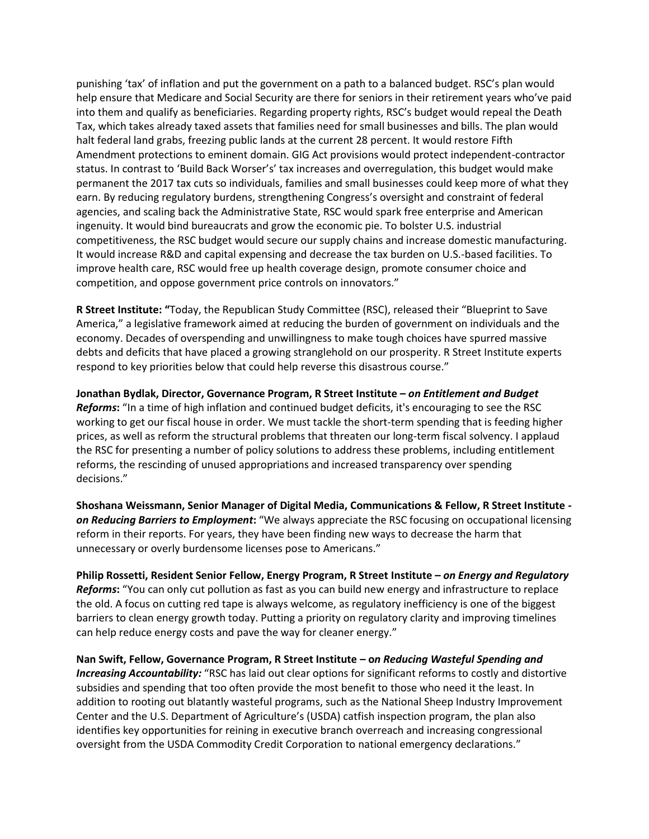punishing 'tax' of inflation and put the government on a path to a balanced budget. RSC's plan would help ensure that Medicare and Social Security are there for seniors in their retirement years who've paid into them and qualify as beneficiaries. Regarding property rights, RSC's budget would repeal the Death Tax, which takes already taxed assets that families need for small businesses and bills. The plan would halt federal land grabs, freezing public lands at the current 28 percent. It would restore Fifth Amendment protections to eminent domain. GIG Act provisions would protect independent-contractor status. In contrast to 'Build Back Worser's' tax increases and overregulation, this budget would make permanent the 2017 tax cuts so individuals, families and small businesses could keep more of what they earn. By reducing regulatory burdens, strengthening Congress's oversight and constraint of federal agencies, and scaling back the Administrative State, RSC would spark free enterprise and American ingenuity. It would bind bureaucrats and grow the economic pie. To bolster U.S. industrial competitiveness, the RSC budget would secure our supply chains and increase domestic manufacturing. It would increase R&D and capital expensing and decrease the tax burden on U.S.-based facilities. To improve health care, RSC would free up health coverage design, promote consumer choice and competition, and oppose government price controls on innovators."

**R Street Institute: "**Today, the Republican Study Committee (RSC), released their "Blueprint to Save America," a legislative framework aimed at reducing the burden of government on individuals and the economy. Decades of overspending and unwillingness to make tough choices have spurred massive debts and deficits that have placed a growing stranglehold on our prosperity. R Street Institute experts respond to key priorities below that could help reverse this disastrous course."

**Jonathan Bydlak, Director, Governance Program, R Street Institute –** *on Entitlement and Budget Reforms***:** "In a time of high inflation and continued budget deficits, it's encouraging to see the RSC working to get our fiscal house in order. We must tackle the short-term spending that is feeding higher prices, as well as reform the structural problems that threaten our long-term fiscal solvency. I applaud the RSC for presenting a number of policy solutions to address these problems, including entitlement reforms, the rescinding of unused appropriations and increased transparency over spending decisions."

**Shoshana Weissmann, Senior Manager of Digital Media, Communications & Fellow, R Street Institute**  *on Reducing Barriers to Employment***:** "We always appreciate the RSC focusing on occupational licensing reform in their reports. For years, they have been finding new ways to decrease the harm that unnecessary or overly burdensome licenses pose to Americans."

**Philip Rossetti, Resident Senior Fellow, Energy Program, R Street Institute –** *on Energy and Regulatory Reforms***:** "You can only cut pollution as fast as you can build new energy and infrastructure to replace the old. A focus on cutting red tape is always welcome, as regulatory inefficiency is one of the biggest barriers to clean energy growth today. Putting a priority on regulatory clarity and improving timelines can help reduce energy costs and pave the way for cleaner energy."

**Nan Swift, Fellow, Governance Program, R Street Institute – o***n Reducing Wasteful Spending and Increasing Accountability:* "RSC has laid out clear options for significant reforms to costly and distortive subsidies and spending that too often provide the most benefit to those who need it the least. In addition to rooting out blatantly wasteful programs, such as the National Sheep Industry Improvement Center and the U.S. Department of Agriculture's (USDA) catfish inspection program, the plan also identifies key opportunities for reining in executive branch overreach and increasing congressional oversight from the USDA Commodity Credit Corporation to national emergency declarations."